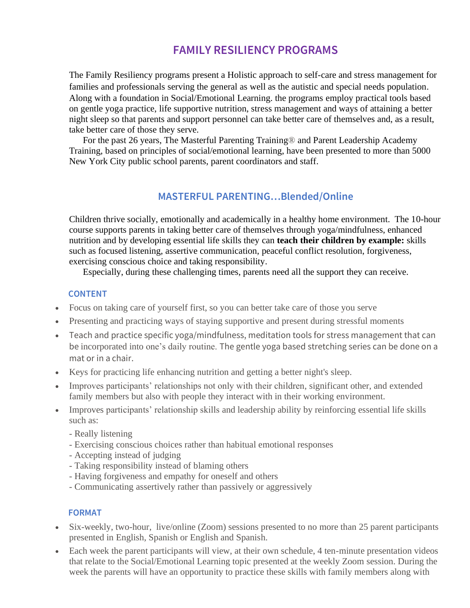# **FAMILY RESILIENCY PROGRAMS**

The Family Resiliency programs present a Holistic approach to self-care and stress management for families and professionals serving the general as well as the autistic and special needs population. Along with a foundation in Social/Emotional Learning. the programs employ practical tools based on gentle yoga practice, life supportive nutrition, stress management and ways of attaining a better night sleep so that parents and support personnel can take better care of themselves and, as a result, take better care of those they serve.

For the past 26 years, The Masterful Parenting Training® and Parent Leadership Academy Training, based on principles of social/emotional learning, have been presented to more than 5000 New York City public school parents, parent coordinators and staff.

## **MASTERFUL PARENTING…Blended/Online**

Children thrive socially, emotionally and academically in a healthy home environment. The 10-hour course supports parents in taking better care of themselves through yoga/mindfulness, enhanced nutrition and by developing essential life skills they can **teach their children by example:** skills such as focused listening, assertive communication, peaceful conflict resolution, forgiveness, exercising conscious choice and taking responsibility.

Especially, during these challenging times, parents need all the support they can receive.

#### **CONTENT**

- Focus on taking care of yourself first, so you can better take care of those you serve
- Presenting and practicing ways of staying supportive and present during stressful moments
- Teach and practice specific yoga/mindfulness, meditation tools for stress management that can be incorporated into one's daily routine. The gentle yoga based stretching series can be done on a mat or in a chair.
- Keys for practicing life enhancing nutrition and getting a better night's sleep.
- Improves participants' relationships not only with their children, significant other, and extended family members but also with people they interact with in their working environment.
- Improves participants' relationship skills and leadership ability by reinforcing essential life skills such as:
	- Really listening
	- Exercising conscious choices rather than habitual emotional responses
	- Accepting instead of judging
	- Taking responsibility instead of blaming others
	- Having forgiveness and empathy for oneself and others
	- Communicating assertively rather than passively or aggressively

#### **FORMAT**

- Six-weekly, two-hour, live/online (Zoom) sessions presented to no more than 25 parent participants presented in English, Spanish or English and Spanish.
- Each week the parent participants will view, at their own schedule, 4 ten-minute presentation videos that relate to the Social/Emotional Learning topic presented at the weekly Zoom session. During the week the parents will have an opportunity to practice these skills with family members along with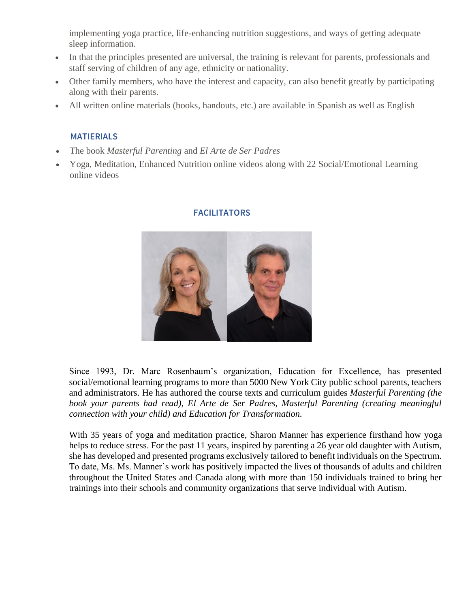implementing yoga practice, life-enhancing nutrition suggestions, and ways of getting adequate sleep information.

- In that the principles presented are universal, the training is relevant for parents, professionals and staff serving of children of any age, ethnicity or nationality.
- Other family members, who have the interest and capacity, can also benefit greatly by participating along with their parents.
- All written online materials (books, handouts, etc.) are available in Spanish as well as English

## **MATIERIALS**

- The book *Masterful Parenting* and *El Arte de Ser Padres*
- Yoga, Meditation, Enhanced Nutrition online videos along with 22 Social/Emotional Learning online videos



### **FACILITATORS**

Since 1993, Dr. Marc Rosenbaum's organization, Education for Excellence, has presented social/emotional learning programs to more than 5000 New York City public school parents, teachers and administrators. He has authored the course texts and curriculum guides *Masterful Parenting (the book your parents had read), El Arte de Ser Padres, Masterful Parenting (creating meaningful connection with your child) and Education for Transformation.*

With 35 years of yoga and meditation practice, Sharon Manner has experience firsthand how yoga helps to reduce stress. For the past 11 years, inspired by parenting a 26 year old daughter with Autism, she has developed and presented programs exclusively tailored to benefit individuals on the Spectrum. To date, Ms. Ms. Manner's work has positively impacted the lives of thousands of adults and children throughout the United States and Canada along with more than 150 individuals trained to bring her trainings into their schools and community organizations that serve individual with Autism.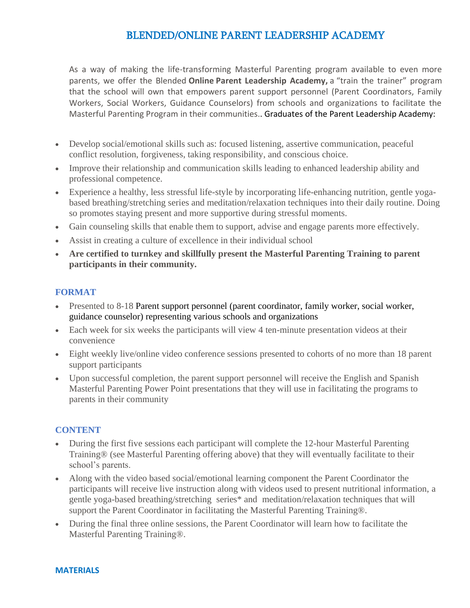## BLENDED/ONLINE PARENT LEADERSHIP ACADEMY

As a way of making the life-transforming Masterful Parenting program available to even more parents, we offer the Blended **Online Parent Leadership Academy,** a "train the trainer" program that the school will own that empowers parent support personnel (Parent Coordinators, Family Workers, Social Workers, Guidance Counselors) from schools and organizations to facilitate the Masterful Parenting Program in their communities.. Graduates of the Parent Leadership Academy:

- Develop social/emotional skills such as: focused listening, assertive communication, peaceful conflict resolution, forgiveness, taking responsibility, and conscious choice.
- Improve their relationship and communication skills leading to enhanced leadership ability and professional competence.
- Experience a healthy, less stressful life-style by incorporating life-enhancing nutrition, gentle yogabased breathing/stretching series and meditation/relaxation techniques into their daily routine. Doing so promotes staying present and more supportive during stressful moments.
- Gain counseling skills that enable them to support, advise and engage parents more effectively.
- Assist in creating a culture of excellence in their individual school
- **Are certified to turnkey and skillfully present the Masterful Parenting Training to parent participants in their community.**

### **FORMAT**

- Presented to 8-18 Parent support personnel (parent coordinator, family worker, social worker, guidance counselor) representing various schools and organizations
- Each week for six weeks the participants will view 4 ten-minute presentation videos at their convenience
- Eight weekly live/online video conference sessions presented to cohorts of no more than 18 parent support participants
- Upon successful completion, the parent support personnel will receive the English and Spanish Masterful Parenting Power Point presentations that they will use in facilitating the programs to parents in their community

## **CONTENT**

- During the first five sessions each participant will complete the 12-hour Masterful Parenting Training® (see Masterful Parenting offering above) that they will eventually facilitate to their school's parents.
- Along with the video based social/emotional learning component the Parent Coordinator the participants will receive live instruction along with videos used to present nutritional information, a gentle yoga-based breathing/stretching series\* and meditation/relaxation techniques that will support the Parent Coordinator in facilitating the Masterful Parenting Training®.
- During the final three online sessions, the Parent Coordinator will learn how to facilitate the Masterful Parenting Training®.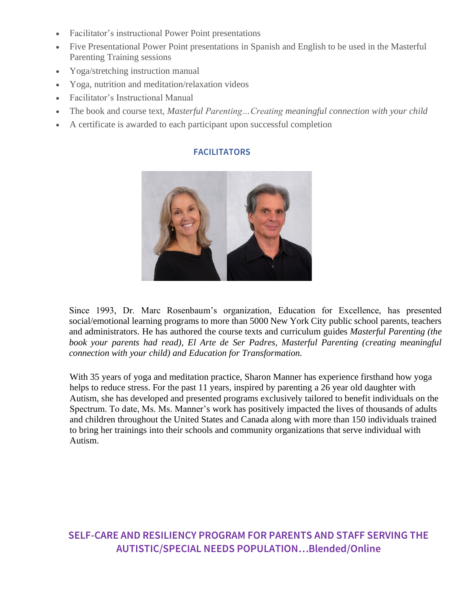- Facilitator's instructional Power Point presentations
- Five Presentational Power Point presentations in Spanish and English to be used in the Masterful Parenting Training sessions
- Yoga/stretching instruction manual
- Yoga, nutrition and meditation/relaxation videos
- Facilitator's Instructional Manual
- The book and course text, *Masterful Parenting…Creating meaningful connection with your child*
- A certificate is awarded to each participant upon successful completion

### **FACILITATORS**



Since 1993, Dr. Marc Rosenbaum's organization, Education for Excellence, has presented social/emotional learning programs to more than 5000 New York City public school parents, teachers and administrators. He has authored the course texts and curriculum guides *Masterful Parenting (the book your parents had read), El Arte de Ser Padres, Masterful Parenting (creating meaningful connection with your child) and Education for Transformation.*

With 35 years of yoga and meditation practice, Sharon Manner has experience firsthand how yoga helps to reduce stress. For the past 11 years, inspired by parenting a 26 year old daughter with Autism, she has developed and presented programs exclusively tailored to benefit individuals on the Spectrum. To date, Ms. Ms. Manner's work has positively impacted the lives of thousands of adults and children throughout the United States and Canada along with more than 150 individuals trained to bring her trainings into their schools and community organizations that serve individual with Autism.

## **SELF-CARE AND RESILIENCY PROGRAM FOR PARENTS AND STAFF SERVING THE AUTISTIC/SPECIAL NEEDS POPULATION…Blended/Online**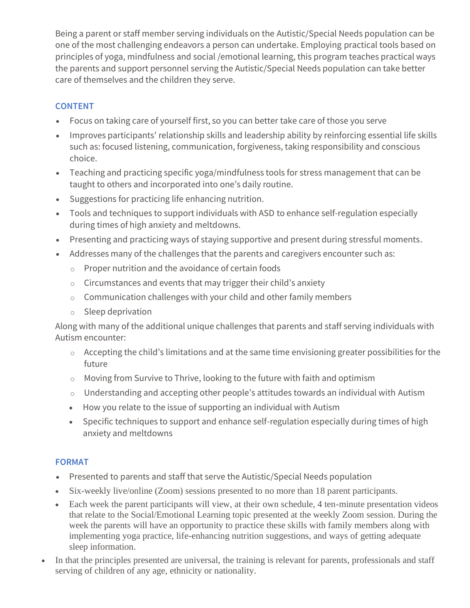Being a parent or staff member serving individuals on the Autistic/Special Needs population can be one of the most challenging endeavors a person can undertake. Employing practical tools based on principles of yoga, mindfulness and social /emotional learning, this program teaches practical ways the parents and support personnel serving the Autistic/Special Needs population can take better care of themselves and the children they serve.

## **CONTENT**

- Focus on taking care of yourself first, so you can better take care of those you serve
- Improves participants' relationship skills and leadership ability by reinforcing essential life skills such as: focused listening, communication, forgiveness, taking responsibility and conscious choice.
- Teaching and practicing specific yoga/mindfulness tools for stress management that can be taught to others and incorporated into one's daily routine.
- Suggestions for practicing life enhancing nutrition.
- Tools and techniques to support individuals with ASD to enhance self-regulation especially during times of high anxiety and meltdowns.
- Presenting and practicing ways of staying supportive and present during stressful moments.
- Addresses many of the challenges that the parents and caregivers encounter such as:
	- o Proper nutrition and the avoidance of certain foods
	- o Circumstances and events that may trigger their child's anxiety
	- o Communication challenges with your child and other family members
	- o Sleep deprivation

Along with many of the additional unique challenges that parents and staff serving individuals with Autism encounter:

- o Accepting the child's limitations and at the same time envisioning greater possibilities for the future
- o Moving from Survive to Thrive, looking to the future with faith and optimism
- o Understanding and accepting other people's attitudes towards an individual with Autism
- How you relate to the issue of supporting an individual with Autism
- Specific techniques to support and enhance self-regulation especially during times of high anxiety and meltdowns

## **FORMAT**

- Presented to parents and staff that serve the Autistic/Special Needs population
- Six-weekly live/online (Zoom) sessions presented to no more than 18 parent participants.
- Each week the parent participants will view, at their own schedule, 4 ten-minute presentation videos that relate to the Social/Emotional Learning topic presented at the weekly Zoom session. During the week the parents will have an opportunity to practice these skills with family members along with implementing yoga practice, life-enhancing nutrition suggestions, and ways of getting adequate sleep information.
- In that the principles presented are universal, the training is relevant for parents, professionals and staff serving of children of any age, ethnicity or nationality.